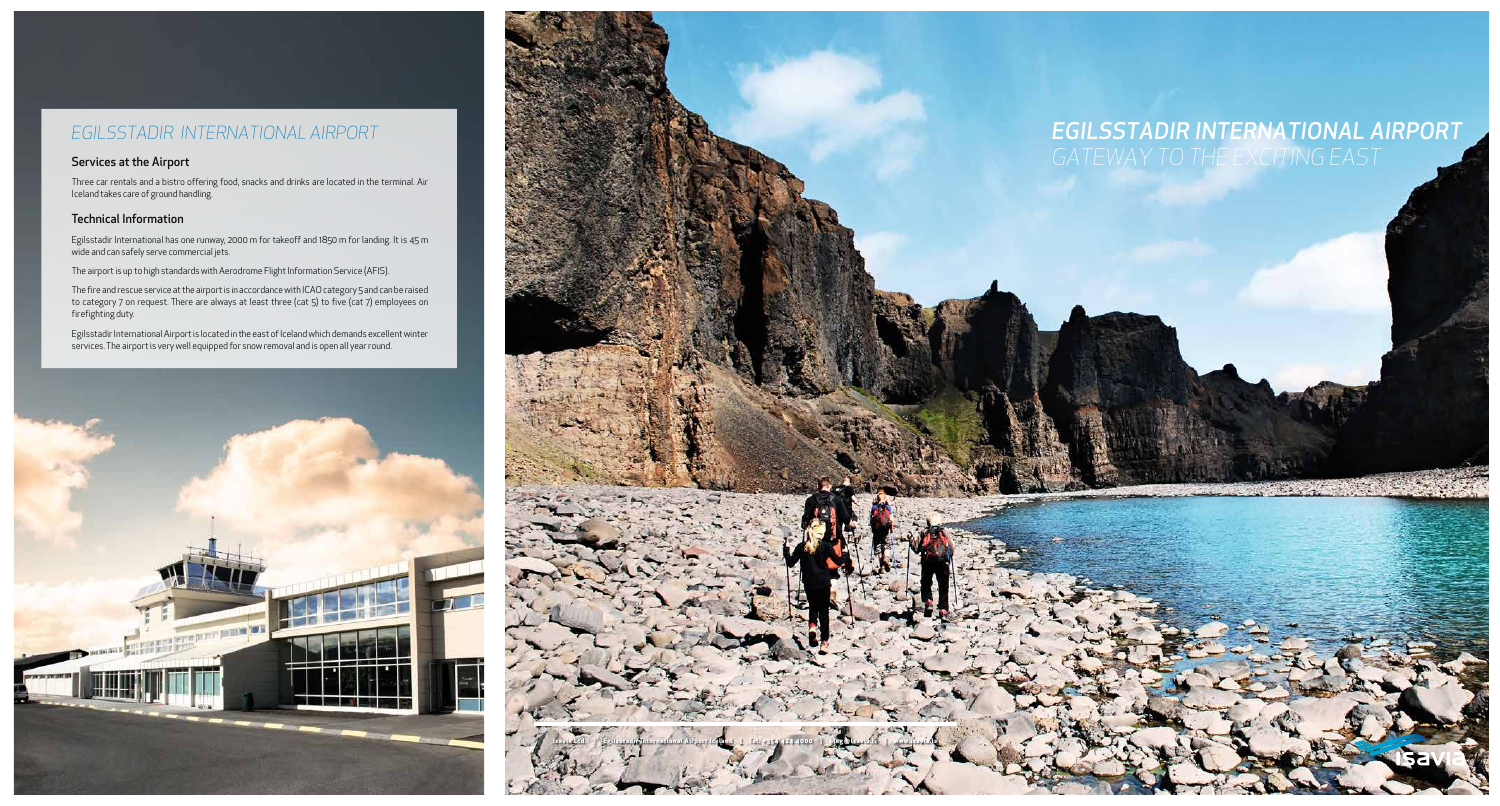## *EGILSSTADIR INTERNATIONAL AIRPORT*

#### Services at the Airport

Three car rentals and a bistro offering food, snacks and drinks are located in the terminal. Air Iceland takes care of ground handling.

#### Technical Information

Egilsstadir International has one runway, 2000 m for takeoff and 1850 m for landing. It is 45 m wide and can safely serve commercial jets.

The airport is up to high standards with Aerodrome Flight Information Service (AFIS).

The fire and rescue service at the airport is in accordance with ICAO category 5 and can be raised to category 7 on request. There are always at least three (cat 5) to five (cat 7) employees on firefighting duty.

Egilsstadir International Airport is located in the east of Iceland which demands excellent winter services. The airport is very well equipped for snow removal and is open all year round.





# *EGILSSTADIR INTERNATIONAL AIRPORT*

the signal way